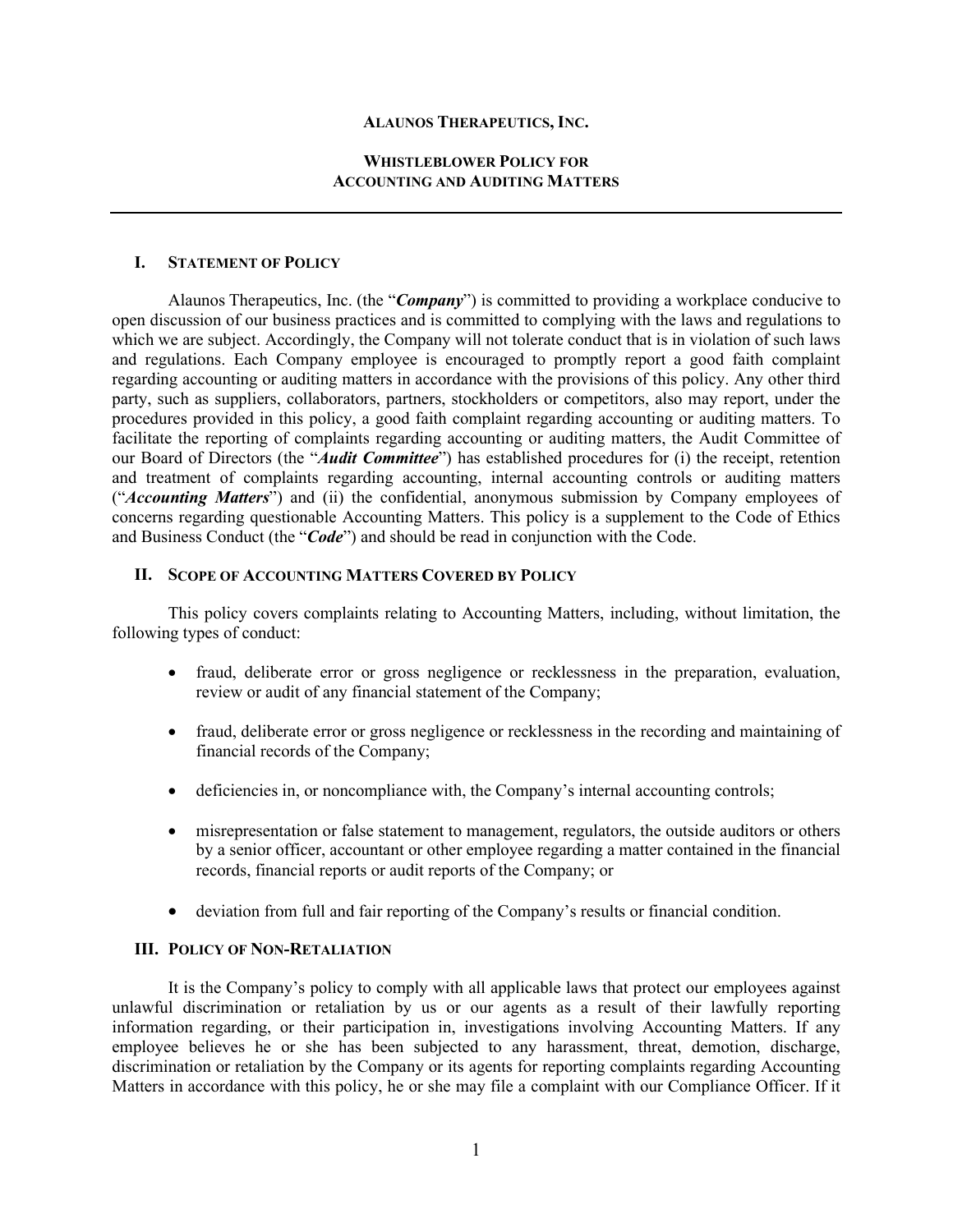### **ALAUNOS THERAPEUTICS, INC.**

## **WHISTLEBLOWER POLICY FOR ACCOUNTING AND AUDITING MATTERS**

### **I. STATEMENT OF POLICY**

Alaunos Therapeutics, Inc. (the "*Company*") is committed to providing a workplace conducive to open discussion of our business practices and is committed to complying with the laws and regulations to which we are subject. Accordingly, the Company will not tolerate conduct that is in violation of such laws and regulations. Each Company employee is encouraged to promptly report a good faith complaint regarding accounting or auditing matters in accordance with the provisions of this policy. Any other third party, such as suppliers, collaborators, partners, stockholders or competitors, also may report, under the procedures provided in this policy, a good faith complaint regarding accounting or auditing matters. To facilitate the reporting of complaints regarding accounting or auditing matters, the Audit Committee of our Board of Directors (the "*Audit Committee*") has established procedures for (i) the receipt, retention and treatment of complaints regarding accounting, internal accounting controls or auditing matters ("*Accounting Matters*") and (ii) the confidential, anonymous submission by Company employees of concerns regarding questionable Accounting Matters. This policy is a supplement to the Code of Ethics and Business Conduct (the "*Code*") and should be read in conjunction with the Code.

#### **II. SCOPE OF ACCOUNTING MATTERS COVERED BY POLICY**

This policy covers complaints relating to Accounting Matters, including, without limitation, the following types of conduct:

- fraud, deliberate error or gross negligence or recklessness in the preparation, evaluation, review or audit of any financial statement of the Company;
- fraud, deliberate error or gross negligence or recklessness in the recording and maintaining of financial records of the Company;
- deficiencies in, or noncompliance with, the Company's internal accounting controls;
- misrepresentation or false statement to management, regulators, the outside auditors or others by a senior officer, accountant or other employee regarding a matter contained in the financial records, financial reports or audit reports of the Company; or
- deviation from full and fair reporting of the Company's results or financial condition.

# **III. POLICY OF NON-RETALIATION**

It is the Company's policy to comply with all applicable laws that protect our employees against unlawful discrimination or retaliation by us or our agents as a result of their lawfully reporting information regarding, or their participation in, investigations involving Accounting Matters. If any employee believes he or she has been subjected to any harassment, threat, demotion, discharge, discrimination or retaliation by the Company or its agents for reporting complaints regarding Accounting Matters in accordance with this policy, he or she may file a complaint with our Compliance Officer. If it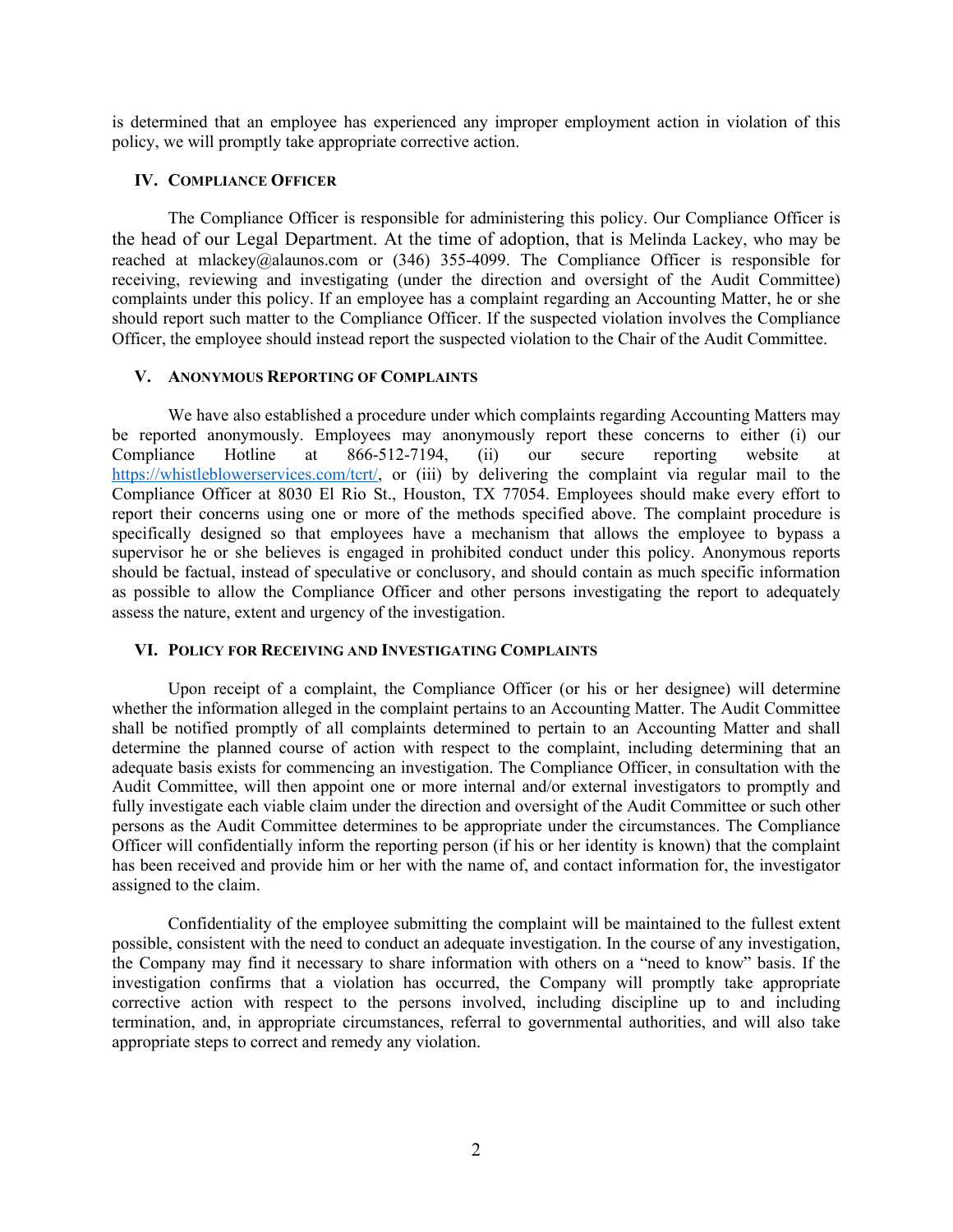is determined that an employee has experienced any improper employment action in violation of this policy, we will promptly take appropriate corrective action.

### **IV. COMPLIANCE OFFICER**

The Compliance Officer is responsible for administering this policy. Our Compliance Officer is the head of our Legal Department. At the time of adoption, that is Melinda Lackey, who may be reached at mlackey@alaunos.com or (346) 355-4099. The Compliance Officer is responsible for receiving, reviewing and investigating (under the direction and oversight of the Audit Committee) complaints under this policy. If an employee has a complaint regarding an Accounting Matter, he or she should report such matter to the Compliance Officer. If the suspected violation involves the Compliance Officer, the employee should instead report the suspected violation to the Chair of the Audit Committee.

### **V. ANONYMOUS REPORTING OF COMPLAINTS**

We have also established a procedure under which complaints regarding Accounting Matters may be reported anonymously. Employees may anonymously report these concerns to either (i) our Compliance Hotline at 866-512-7194, (ii) our secure reporting website at [https://whistleblowerservices.com/tcrt/,](https://whistleblowerservices.com/ziop/) or (iii) by delivering the complaint via regular mail to the Compliance Officer at 8030 El Rio St., Houston, TX 77054. Employees should make every effort to report their concerns using one or more of the methods specified above. The complaint procedure is specifically designed so that employees have a mechanism that allows the employee to bypass a supervisor he or she believes is engaged in prohibited conduct under this policy. Anonymous reports should be factual, instead of speculative or conclusory, and should contain as much specific information as possible to allow the Compliance Officer and other persons investigating the report to adequately assess the nature, extent and urgency of the investigation.

## **VI. POLICY FOR RECEIVING AND INVESTIGATING COMPLAINTS**

Upon receipt of a complaint, the Compliance Officer (or his or her designee) will determine whether the information alleged in the complaint pertains to an Accounting Matter. The Audit Committee shall be notified promptly of all complaints determined to pertain to an Accounting Matter and shall determine the planned course of action with respect to the complaint, including determining that an adequate basis exists for commencing an investigation. The Compliance Officer, in consultation with the Audit Committee, will then appoint one or more internal and/or external investigators to promptly and fully investigate each viable claim under the direction and oversight of the Audit Committee or such other persons as the Audit Committee determines to be appropriate under the circumstances. The Compliance Officer will confidentially inform the reporting person (if his or her identity is known) that the complaint has been received and provide him or her with the name of, and contact information for, the investigator assigned to the claim.

Confidentiality of the employee submitting the complaint will be maintained to the fullest extent possible, consistent with the need to conduct an adequate investigation. In the course of any investigation, the Company may find it necessary to share information with others on a "need to know" basis. If the investigation confirms that a violation has occurred, the Company will promptly take appropriate corrective action with respect to the persons involved, including discipline up to and including termination, and, in appropriate circumstances, referral to governmental authorities, and will also take appropriate steps to correct and remedy any violation.